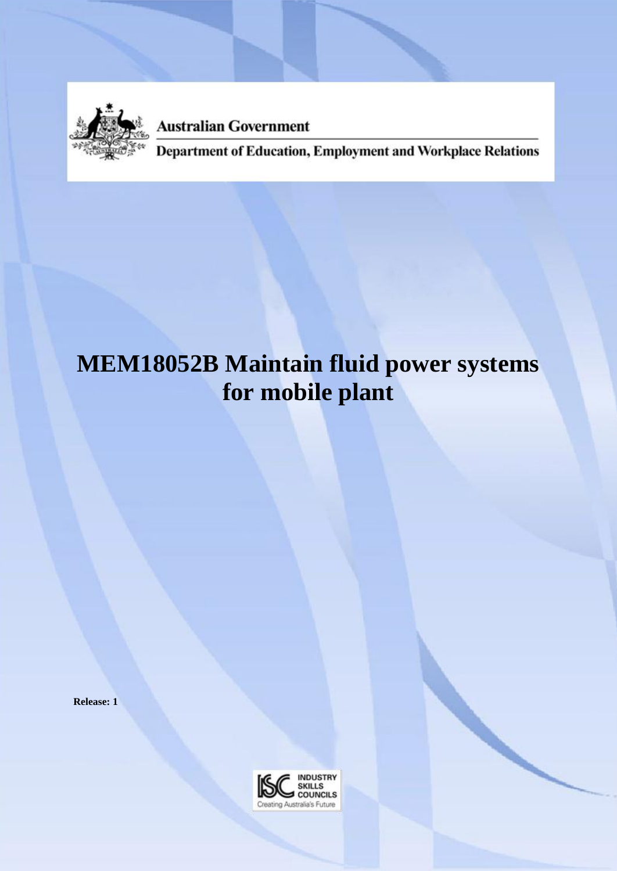

**Australian Government** 

**Department of Education, Employment and Workplace Relations** 

# **MEM18052B Maintain fluid power systems for mobile plant**

**Release: 1**

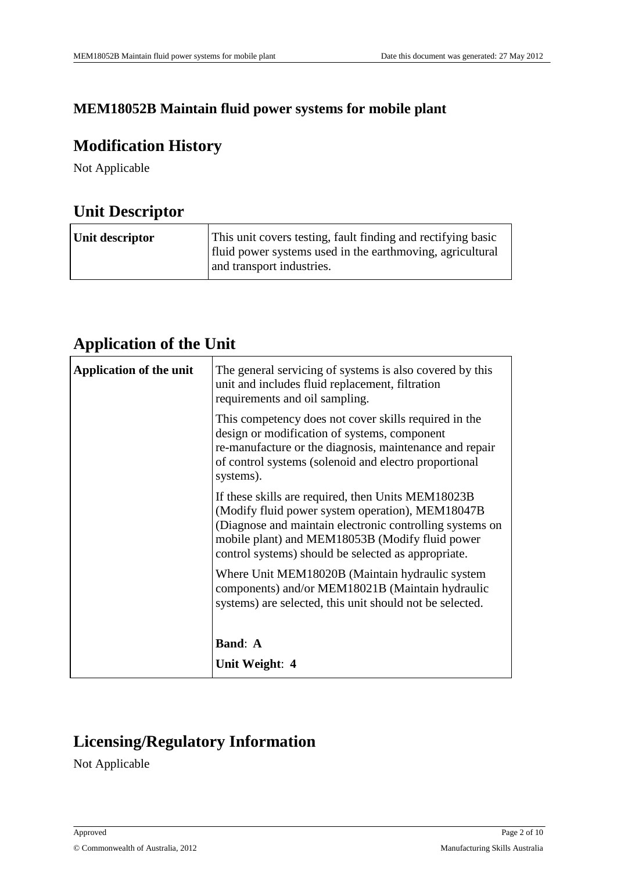#### **MEM18052B Maintain fluid power systems for mobile plant**

### **Modification History**

Not Applicable

### **Unit Descriptor**

| Unit descriptor | This unit covers testing, fault finding and rectifying basic<br>fluid power systems used in the earthmoving, agricultural<br>and transport industries. |
|-----------------|--------------------------------------------------------------------------------------------------------------------------------------------------------|
|-----------------|--------------------------------------------------------------------------------------------------------------------------------------------------------|

### **Application of the Unit**

| <b>Application of the unit</b> | The general servicing of systems is also covered by this<br>unit and includes fluid replacement, filtration<br>requirements and oil sampling.                                                                                                                                |
|--------------------------------|------------------------------------------------------------------------------------------------------------------------------------------------------------------------------------------------------------------------------------------------------------------------------|
|                                | This competency does not cover skills required in the<br>design or modification of systems, component<br>re-manufacture or the diagnosis, maintenance and repair<br>of control systems (solenoid and electro proportional<br>systems).                                       |
|                                | If these skills are required, then Units MEM18023B<br>(Modify fluid power system operation), MEM18047B<br>(Diagnose and maintain electronic controlling systems on<br>mobile plant) and MEM18053B (Modify fluid power<br>control systems) should be selected as appropriate. |
|                                | Where Unit MEM18020B (Maintain hydraulic system<br>components) and/or MEM18021B (Maintain hydraulic<br>systems) are selected, this unit should not be selected.                                                                                                              |
|                                | <b>Band: A</b>                                                                                                                                                                                                                                                               |
|                                | Unit Weight: 4                                                                                                                                                                                                                                                               |

## **Licensing/Regulatory Information**

Not Applicable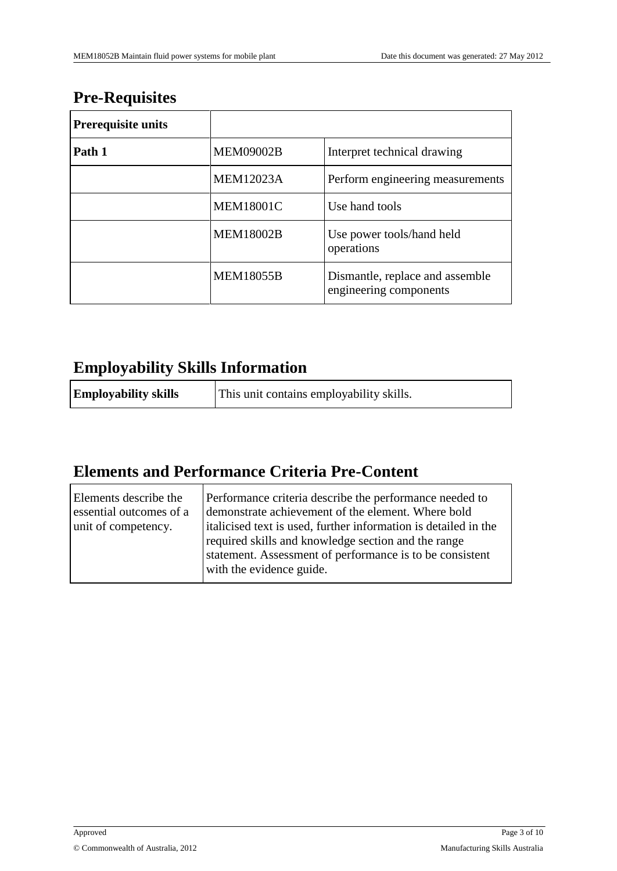## **Pre-Requisites**

| <b>Prerequisite units</b> |                  |                                                           |
|---------------------------|------------------|-----------------------------------------------------------|
| Path 1                    | <b>MEM09002B</b> | Interpret technical drawing                               |
|                           | <b>MEM12023A</b> | Perform engineering measurements                          |
|                           | <b>MEM18001C</b> | Use hand tools                                            |
|                           | <b>MEM18002B</b> | Use power tools/hand held<br>operations                   |
|                           | <b>MEM18055B</b> | Dismantle, replace and assemble<br>engineering components |

## **Employability Skills Information**

| <b>Employability skills</b> | This unit contains employability skills. |
|-----------------------------|------------------------------------------|
|-----------------------------|------------------------------------------|

# **Elements and Performance Criteria Pre-Content**

| Elements describe the<br>essential outcomes of a<br>unit of competency. | Performance criteria describe the performance needed to<br>demonstrate achievement of the element. Where bold<br>italicised text is used, further information is detailed in the<br>required skills and knowledge section and the range<br>statement. Assessment of performance is to be consistent<br>with the evidence guide. |
|-------------------------------------------------------------------------|---------------------------------------------------------------------------------------------------------------------------------------------------------------------------------------------------------------------------------------------------------------------------------------------------------------------------------|
|                                                                         |                                                                                                                                                                                                                                                                                                                                 |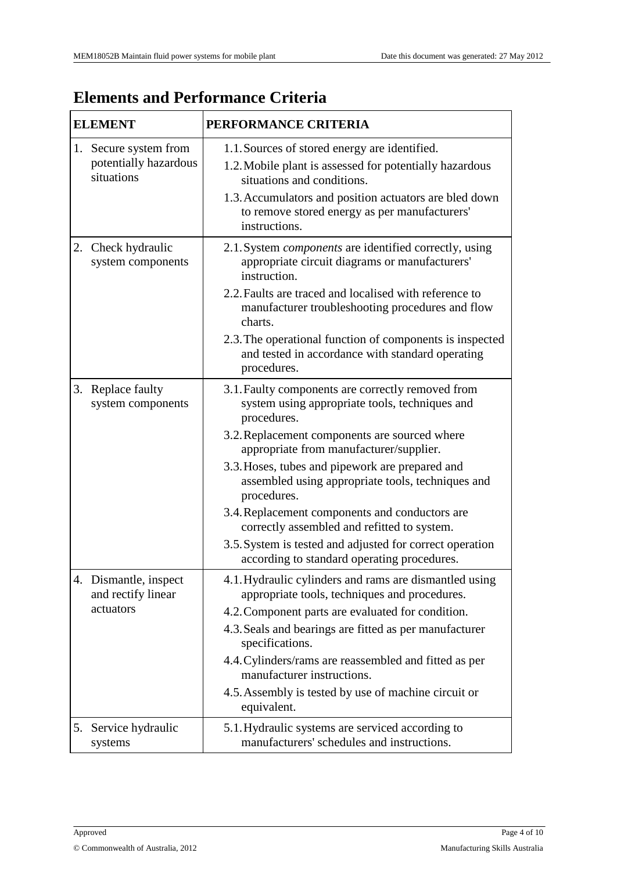# **Elements and Performance Criteria**

|    | <b>ELEMENT</b>                                               | PERFORMANCE CRITERIA                                                                                                                                                                                                                                               |  |
|----|--------------------------------------------------------------|--------------------------------------------------------------------------------------------------------------------------------------------------------------------------------------------------------------------------------------------------------------------|--|
|    | 1. Secure system from<br>potentially hazardous<br>situations | 1.1. Sources of stored energy are identified.<br>1.2. Mobile plant is assessed for potentially hazardous<br>situations and conditions.<br>1.3. Accumulators and position actuators are bled down<br>to remove stored energy as per manufacturers'<br>instructions. |  |
| 2. | Check hydraulic<br>system components                         | 2.1. System <i>components</i> are identified correctly, using<br>appropriate circuit diagrams or manufacturers'<br>instruction.<br>2.2. Faults are traced and localised with reference to<br>manufacturer troubleshooting procedures and flow                      |  |
|    |                                                              | charts.<br>2.3. The operational function of components is inspected<br>and tested in accordance with standard operating<br>procedures.                                                                                                                             |  |
|    | 3. Replace faulty<br>system components                       | 3.1. Faulty components are correctly removed from<br>system using appropriate tools, techniques and<br>procedures.<br>3.2. Replacement components are sourced where                                                                                                |  |
|    |                                                              | appropriate from manufacturer/supplier.<br>3.3. Hoses, tubes and pipework are prepared and<br>assembled using appropriate tools, techniques and<br>procedures.                                                                                                     |  |
|    |                                                              | 3.4. Replacement components and conductors are<br>correctly assembled and refitted to system.                                                                                                                                                                      |  |
|    |                                                              | 3.5. System is tested and adjusted for correct operation<br>according to standard operating procedures.                                                                                                                                                            |  |
|    | 4. Dismantle, inspect<br>and rectify linear<br>actuators     | 4.1. Hydraulic cylinders and rams are dismantled using<br>appropriate tools, techniques and procedures.<br>4.2. Component parts are evaluated for condition.                                                                                                       |  |
|    |                                                              | 4.3. Seals and bearings are fitted as per manufacturer<br>specifications.                                                                                                                                                                                          |  |
|    |                                                              | 4.4. Cylinders/rams are reassembled and fitted as per<br>manufacturer instructions.                                                                                                                                                                                |  |
|    |                                                              | 4.5. Assembly is tested by use of machine circuit or<br>equivalent.                                                                                                                                                                                                |  |
|    | 5. Service hydraulic<br>systems                              | 5.1. Hydraulic systems are serviced according to<br>manufacturers' schedules and instructions.                                                                                                                                                                     |  |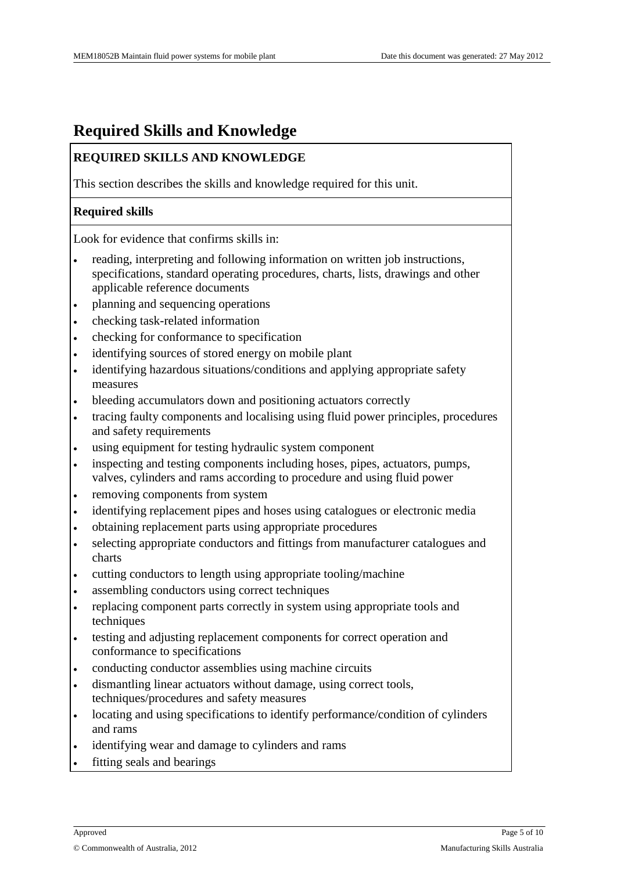### **Required Skills and Knowledge**

#### **REQUIRED SKILLS AND KNOWLEDGE**

This section describes the skills and knowledge required for this unit.

#### **Required skills**

Look for evidence that confirms skills in:

- reading, interpreting and following information on written job instructions, specifications, standard operating procedures, charts, lists, drawings and other applicable reference documents
- planning and sequencing operations
- checking task-related information
- checking for conformance to specification
- identifying sources of stored energy on mobile plant
- identifying hazardous situations/conditions and applying appropriate safety measures
- bleeding accumulators down and positioning actuators correctly
- tracing faulty components and localising using fluid power principles, procedures and safety requirements
- using equipment for testing hydraulic system component
- inspecting and testing components including hoses, pipes, actuators, pumps, valves, cylinders and rams according to procedure and using fluid power
- removing components from system
- identifying replacement pipes and hoses using catalogues or electronic media
- obtaining replacement parts using appropriate procedures
- selecting appropriate conductors and fittings from manufacturer catalogues and charts
- cutting conductors to length using appropriate tooling/machine
- assembling conductors using correct techniques
- replacing component parts correctly in system using appropriate tools and techniques
- testing and adjusting replacement components for correct operation and conformance to specifications
- conducting conductor assemblies using machine circuits
- dismantling linear actuators without damage, using correct tools, techniques/procedures and safety measures
- locating and using specifications to identify performance/condition of cylinders and rams
- identifying wear and damage to cylinders and rams
- fitting seals and bearings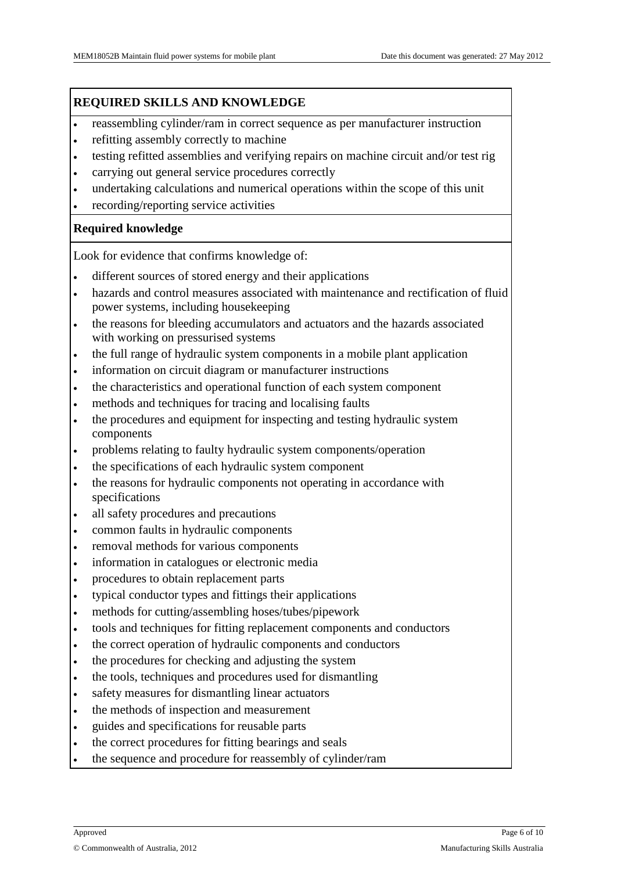#### **REQUIRED SKILLS AND KNOWLEDGE**

- reassembling cylinder/ram in correct sequence as per manufacturer instruction
- refitting assembly correctly to machine
- testing refitted assemblies and verifying repairs on machine circuit and/or test rig
- carrying out general service procedures correctly
- undertaking calculations and numerical operations within the scope of this unit
- recording/reporting service activities

#### **Required knowledge**

Look for evidence that confirms knowledge of:

- different sources of stored energy and their applications
- hazards and control measures associated with maintenance and rectification of fluid power systems, including housekeeping
- the reasons for bleeding accumulators and actuators and the hazards associated with working on pressurised systems
- the full range of hydraulic system components in a mobile plant application
- information on circuit diagram or manufacturer instructions
- the characteristics and operational function of each system component
- methods and techniques for tracing and localising faults
- the procedures and equipment for inspecting and testing hydraulic system components
- problems relating to faulty hydraulic system components/operation
- the specifications of each hydraulic system component
- the reasons for hydraulic components not operating in accordance with specifications
- all safety procedures and precautions
- common faults in hydraulic components
- removal methods for various components
- information in catalogues or electronic media
- procedures to obtain replacement parts
- typical conductor types and fittings their applications
- methods for cutting/assembling hoses/tubes/pipework
- tools and techniques for fitting replacement components and conductors
- the correct operation of hydraulic components and conductors
- the procedures for checking and adjusting the system
- the tools, techniques and procedures used for dismantling
- safety measures for dismantling linear actuators
- the methods of inspection and measurement
- guides and specifications for reusable parts
- the correct procedures for fitting bearings and seals
- the sequence and procedure for reassembly of cylinder/ram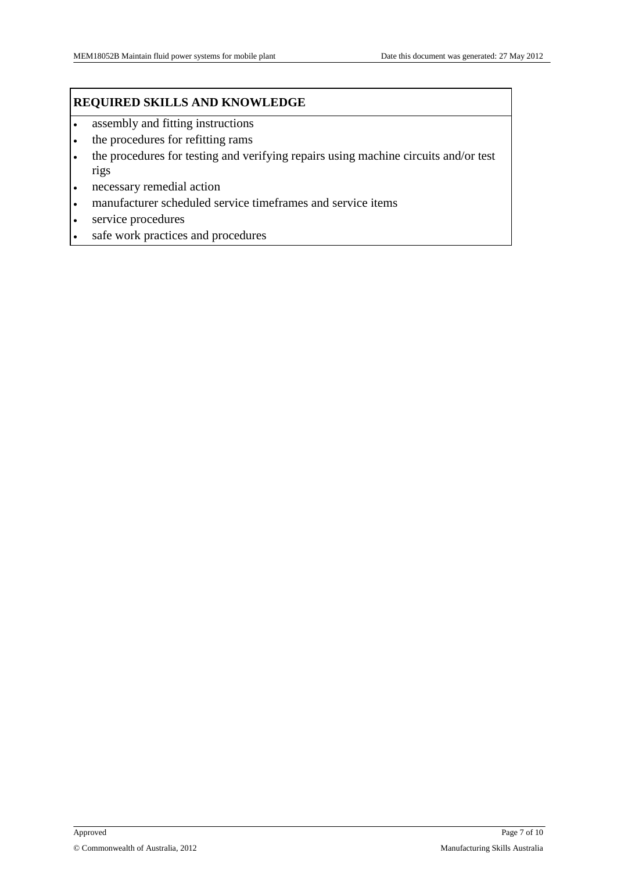#### **REQUIRED SKILLS AND KNOWLEDGE**

- assembly and fitting instructions
- the procedures for refitting rams
- the procedures for testing and verifying repairs using machine circuits and/or test rigs
- necessary remedial action
- manufacturer scheduled service timeframes and service items
- service procedures
- safe work practices and procedures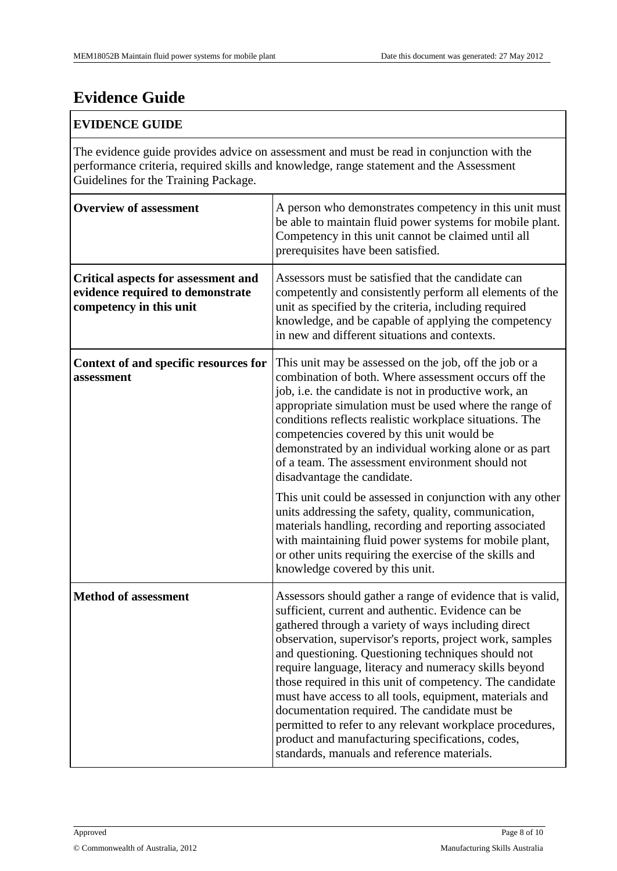# **Evidence Guide**

#### **EVIDENCE GUIDE**

The evidence guide provides advice on assessment and must be read in conjunction with the performance criteria, required skills and knowledge, range statement and the Assessment Guidelines for the Training Package.

| <b>Overview of assessment</b>                                                                             | A person who demonstrates competency in this unit must<br>be able to maintain fluid power systems for mobile plant.<br>Competency in this unit cannot be claimed until all<br>prerequisites have been satisfied.                                                                                                                                                                                                                                                                                                                                                                                                                                                                          |
|-----------------------------------------------------------------------------------------------------------|-------------------------------------------------------------------------------------------------------------------------------------------------------------------------------------------------------------------------------------------------------------------------------------------------------------------------------------------------------------------------------------------------------------------------------------------------------------------------------------------------------------------------------------------------------------------------------------------------------------------------------------------------------------------------------------------|
| <b>Critical aspects for assessment and</b><br>evidence required to demonstrate<br>competency in this unit | Assessors must be satisfied that the candidate can<br>competently and consistently perform all elements of the<br>unit as specified by the criteria, including required<br>knowledge, and be capable of applying the competency<br>in new and different situations and contexts.                                                                                                                                                                                                                                                                                                                                                                                                          |
| Context of and specific resources for<br>assessment                                                       | This unit may be assessed on the job, off the job or a<br>combination of both. Where assessment occurs off the<br>job, i.e. the candidate is not in productive work, an<br>appropriate simulation must be used where the range of<br>conditions reflects realistic workplace situations. The<br>competencies covered by this unit would be<br>demonstrated by an individual working alone or as part<br>of a team. The assessment environment should not<br>disadvantage the candidate.                                                                                                                                                                                                   |
|                                                                                                           | This unit could be assessed in conjunction with any other<br>units addressing the safety, quality, communication,<br>materials handling, recording and reporting associated<br>with maintaining fluid power systems for mobile plant,<br>or other units requiring the exercise of the skills and<br>knowledge covered by this unit.                                                                                                                                                                                                                                                                                                                                                       |
| <b>Method of assessment</b>                                                                               | Assessors should gather a range of evidence that is valid,<br>sufficient, current and authentic. Evidence can be<br>gathered through a variety of ways including direct<br>observation, supervisor's reports, project work, samples<br>and questioning. Questioning techniques should not<br>require language, literacy and numeracy skills beyond<br>those required in this unit of competency. The candidate<br>must have access to all tools, equipment, materials and<br>documentation required. The candidate must be<br>permitted to refer to any relevant workplace procedures,<br>product and manufacturing specifications, codes,<br>standards, manuals and reference materials. |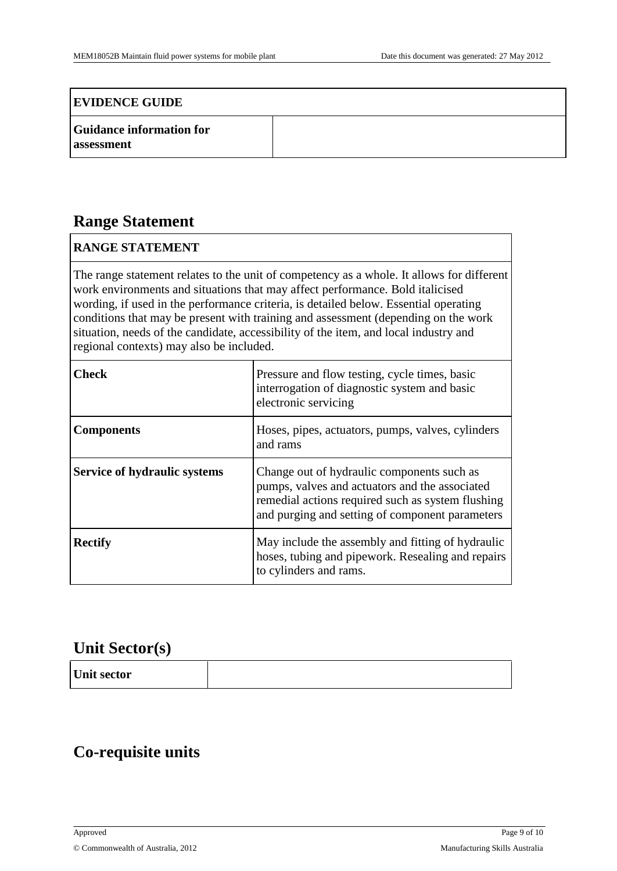#### **EVIDENCE GUIDE**

| <b>Guidance information for</b> |  |
|---------------------------------|--|
| assessment                      |  |

### **Range Statement**

#### **RANGE STATEMENT**

The range statement relates to the unit of competency as a whole. It allows for different work environments and situations that may affect performance. Bold italicised wording, if used in the performance criteria, is detailed below. Essential operating conditions that may be present with training and assessment (depending on the work situation, needs of the candidate, accessibility of the item, and local industry and regional contexts) may also be included.

| Check                               | Pressure and flow testing, cycle times, basic<br>interrogation of diagnostic system and basic<br>electronic servicing                                                                                |
|-------------------------------------|------------------------------------------------------------------------------------------------------------------------------------------------------------------------------------------------------|
| <b>Components</b>                   | Hoses, pipes, actuators, pumps, valves, cylinders<br>and rams                                                                                                                                        |
| <b>Service of hydraulic systems</b> | Change out of hydraulic components such as<br>pumps, valves and actuators and the associated<br>remedial actions required such as system flushing<br>and purging and setting of component parameters |
| <b>Rectify</b>                      | May include the assembly and fitting of hydraulic<br>hoses, tubing and pipework. Resealing and repairs<br>to cylinders and rams.                                                                     |

#### **Unit Sector(s)**

| Unit sector |  |
|-------------|--|
|-------------|--|

### **Co-requisite units**